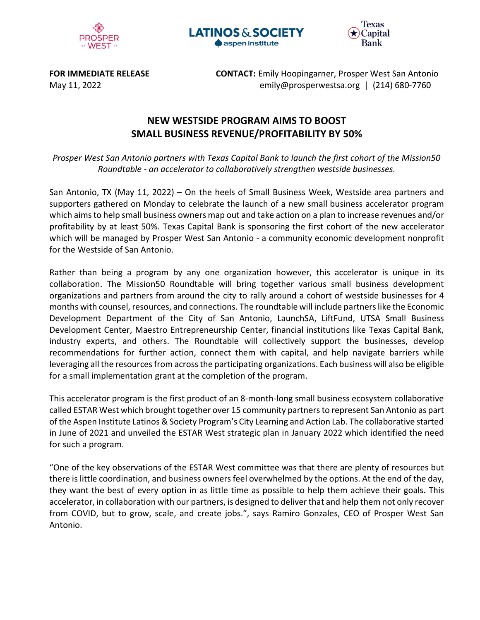





FOR IMMEDIATE RELEASE **CONTACT:** Emily Hoopingarner, Prosper West San Antonio May 11, 2022 emily@prosperwestsa.org | (214) 680-7760

## NEW WESTSIDE PROGRAM AIMS TO BOOST SMALL BUSINESS REVENUE/PROFITABILITY BY 50%

Prosper West San Antonio partners with Texas Capital Bank to launch the first cohort of the Mission50 Roundtable - an accelerator to collaboratively strengthen westside businesses.

San Antonio, TX (May 11, 2022) – On the heels of Small Business Week, Westside area partners and supporters gathered on Monday to celebrate the launch of a new small business accelerator program which aims to help small business owners map out and take action on a plan to increase revenues and/or profitability by at least 50%. Texas Capital Bank is sponsoring the first cohort of the new accelerator which will be managed by Prosper West San Antonio - a community economic development nonprofit for the Westside of San Antonio.

Rather than being a program by any one organization however, this accelerator is unique in its collaboration. The Mission50 Roundtable will bring together various small business development organizations and partners from around the city to rally around a cohort of westside businesses for 4 months with counsel, resources, and connections. The roundtable will include partners like the Economic Development Department of the City of San Antonio, LaunchSA, LiftFund, UTSA Small Business Development Center, Maestro Entrepreneurship Center, financial institutions like Texas Capital Bank, industry experts, and others. The Roundtable will collectively support the businesses, develop recommendations for further action, connect them with capital, and help navigate barriers while leveraging all the resources from across the participating organizations. Each business will also be eligible for a small implementation grant at the completion of the program.

This accelerator program is the first product of an 8-month-long small business ecosystem collaborative called ESTAR West which brought together over 15 community partners to represent San Antonio as part of the Aspen Institute Latinos & Society Program's City Learning and Action Lab. The collaborative started in June of 2021 and unveiled the ESTAR West strategic plan in January 2022 which identified the need for such a program.

"One of the key observations of the ESTAR West committee was that there are plenty of resources but there is little coordination, and business owners feel overwhelmed by the options. At the end of the day, they want the best of every option in as little time as possible to help them achieve their goals. This accelerator, in collaboration with our partners, is designed to deliver that and help them not only recover from COVID, but to grow, scale, and create jobs.", says Ramiro Gonzales, CEO of Prosper West San Antonio.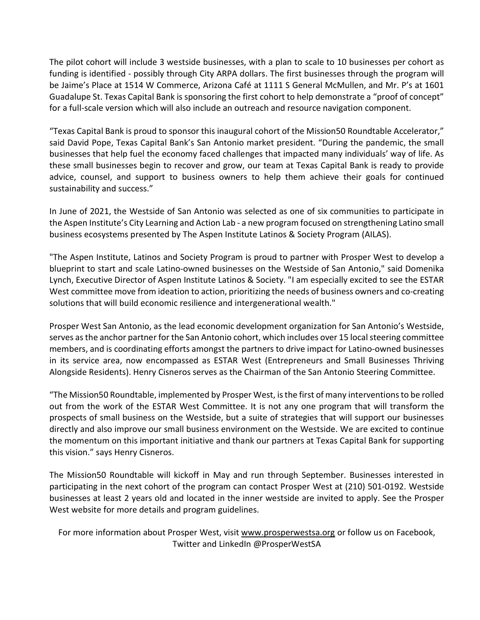The pilot cohort will include 3 westside businesses, with a plan to scale to 10 businesses per cohort as funding is identified - possibly through City ARPA dollars. The first businesses through the program will be Jaime's Place at 1514 W Commerce, Arizona Café at 1111 S General McMullen, and Mr. P's at 1601 Guadalupe St. Texas Capital Bank is sponsoring the first cohort to help demonstrate a "proof of concept" for a full-scale version which will also include an outreach and resource navigation component.

"Texas Capital Bank is proud to sponsor this inaugural cohort of the Mission50 Roundtable Accelerator," said David Pope, Texas Capital Bank's San Antonio market president. "During the pandemic, the small businesses that help fuel the economy faced challenges that impacted many individuals' way of life. As these small businesses begin to recover and grow, our team at Texas Capital Bank is ready to provide advice, counsel, and support to business owners to help them achieve their goals for continued sustainability and success."

In June of 2021, the Westside of San Antonio was selected as one of six communities to participate in the Aspen Institute's City Learning and Action Lab - a new program focused on strengthening Latino small business ecosystems presented by The Aspen Institute Latinos & Society Program (AILAS).

"The Aspen Institute, Latinos and Society Program is proud to partner with Prosper West to develop a blueprint to start and scale Latino-owned businesses on the Westside of San Antonio," said Domenika Lynch, Executive Director of Aspen Institute Latinos & Society. "I am especially excited to see the ESTAR West committee move from ideation to action, prioritizing the needs of business owners and co-creating solutions that will build economic resilience and intergenerational wealth."

Prosper West San Antonio, as the lead economic development organization for San Antonio's Westside, serves as the anchor partner for the San Antonio cohort, which includes over 15 local steering committee members, and is coordinating efforts amongst the partners to drive impact for Latino-owned businesses in its service area, now encompassed as ESTAR West (Entrepreneurs and Small Businesses Thriving Alongside Residents). Henry Cisneros serves as the Chairman of the San Antonio Steering Committee.

"The Mission50 Roundtable, implemented by Prosper West, is the first of many interventions to be rolled out from the work of the ESTAR West Committee. It is not any one program that will transform the prospects of small business on the Westside, but a suite of strategies that will support our businesses directly and also improve our small business environment on the Westside. We are excited to continue the momentum on this important initiative and thank our partners at Texas Capital Bank for supporting this vision." says Henry Cisneros.

The Mission50 Roundtable will kickoff in May and run through September. Businesses interested in participating in the next cohort of the program can contact Prosper West at (210) 501-0192. Westside businesses at least 2 years old and located in the inner westside are invited to apply. See the Prosper West website for more details and program guidelines.

For more information about Prosper West, visit www.prosperwestsa.org or follow us on Facebook, Twitter and LinkedIn @ProsperWestSA